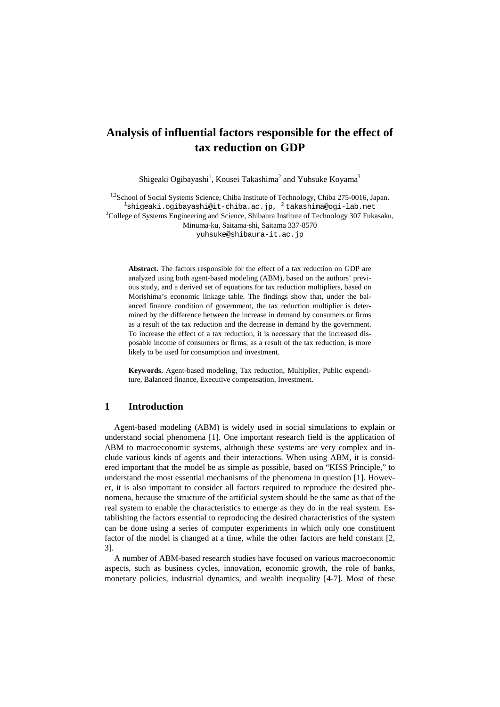# **Analysis of influential factors responsible for the effect of tax reduction on GDP**

Shigeaki Ogibayashi<sup>1</sup>, Kousei Takashima<sup>2</sup> and Yuhsuke Koyama<sup>3</sup>

<sup>1,2</sup>School of Social Systems Science, Chiba Institute of Technology, Chiba 275-0016, Japan. <sup>1</sup>[shigeaki.ogibayashi@it-chiba.ac.jp,](mailto:shigeaki.ogibayashi@it-chiba.ac.jp) <sup>2</sup> takashima@ogi-lab.net<br><sup>3</sup>College of Systems Engineering and Science, Shibayra Institute of Technology 307 Euk <sup>3</sup>College of Systems Engineering and Science, Shibaura Institute of Technology 307 Fukasaku, Minuma-ku, Saitama-shi, Saitama 337-8570 [yuhsuke@shibaura-it.ac.jp](mailto:yuhsuke@shibaura-it.ac.jp)

**Abstract.** The factors responsible for the effect of a tax reduction on GDP are analyzed using both agent-based modeling (ABM), based on the authors' previous study, and a derived set of equations for tax reduction multipliers, based on Morishima's economic linkage table. The findings show that, under the balanced finance condition of government, the tax reduction multiplier is determined by the difference between the increase in demand by consumers or firms as a result of the tax reduction and the decrease in demand by the government. To increase the effect of a tax reduction, it is necessary that the increased disposable income of consumers or firms, as a result of the tax reduction, is more likely to be used for consumption and investment.

**Keywords.** Agent-based modeling, Tax reduction, Multiplier, Public expenditure, Balanced finance, Executive compensation, Investment.

### **1 Introduction**

Agent-based modeling (ABM) is widely used in social simulations to explain or understand social phenomena [1]. One important research field is the application of ABM to macroeconomic systems, although these systems are very complex and include various kinds of agents and their interactions. When using ABM, it is considered important that the model be as simple as possible, based on "KISS Principle," to understand the most essential mechanisms of the phenomena in question [1]. However, it is also important to consider all factors required to reproduce the desired phenomena, because the structure of the artificial system should be the same as that of the real system to enable the characteristics to emerge as they do in the real system. Establishing the factors essential to reproducing the desired characteristics of the system can be done using a series of computer experiments in which only one constituent factor of the model is changed at a time, while the other factors are held constant [2, 3].

A number of ABM-based research studies have focused on various macroeconomic aspects, such as business cycles, innovation, economic growth, the role of banks, monetary policies, industrial dynamics, and wealth inequality [4-7]. Most of these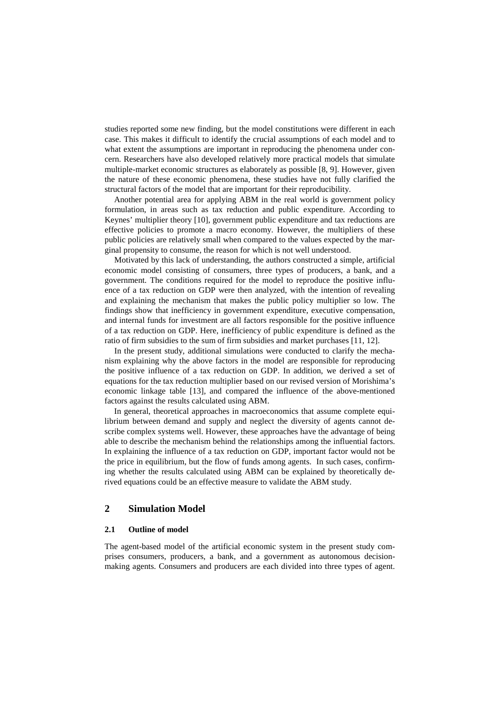studies reported some new finding, but the model constitutions were different in each case. This makes it difficult to identify the crucial assumptions of each model and to what extent the assumptions are important in reproducing the phenomena under concern. Researchers have also developed relatively more practical models that simulate multiple-market economic structures as elaborately as possible [8, 9]. However, given the nature of these economic phenomena, these studies have not fully clarified the structural factors of the model that are important for their reproducibility.

Another potential area for applying ABM in the real world is government policy formulation, in areas such as tax reduction and public expenditure. According to Keynes' multiplier theory [10], government public expenditure and tax reductions are effective policies to promote a macro economy. However, the multipliers of these public policies are relatively small when compared to the values expected by the marginal propensity to consume, the reason for which is not well understood.

Motivated by this lack of understanding, the authors constructed a simple, artificial economic model consisting of consumers, three types of producers, a bank, and a government. The conditions required for the model to reproduce the positive influence of a tax reduction on GDP were then analyzed, with the intention of revealing and explaining the mechanism that makes the public policy multiplier so low. The findings show that inefficiency in government expenditure, executive compensation, and internal funds for investment are all factors responsible for the positive influence of a tax reduction on GDP. Here, inefficiency of public expenditure is defined as the ratio of firm subsidies to the sum of firm subsidies and market purchases [11, 12].

In the present study, additional simulations were conducted to clarify the mechanism explaining why the above factors in the model are responsible for reproducing the positive influence of a tax reduction on GDP. In addition, we derived a set of equations for the tax reduction multiplier based on our revised version of Morishima's economic linkage table [13], and compared the influence of the above-mentioned factors against the results calculated using ABM.

In general, theoretical approaches in macroeconomics that assume complete equilibrium between demand and supply and neglect the diversity of agents cannot describe complex systems well. However, these approaches have the advantage of being able to describe the mechanism behind the relationships among the influential factors. In explaining the influence of a tax reduction on GDP, important factor would not be the price in equilibrium, but the flow of funds among agents. In such cases, confirming whether the results calculated using ABM can be explained by theoretically derived equations could be an effective measure to validate the ABM study.

## **2 Simulation Model**

### **2.1 Outline of model**

The agent-based model of the artificial economic system in the present study comprises consumers, producers, a bank, and a government as autonomous decisionmaking agents. Consumers and producers are each divided into three types of agent.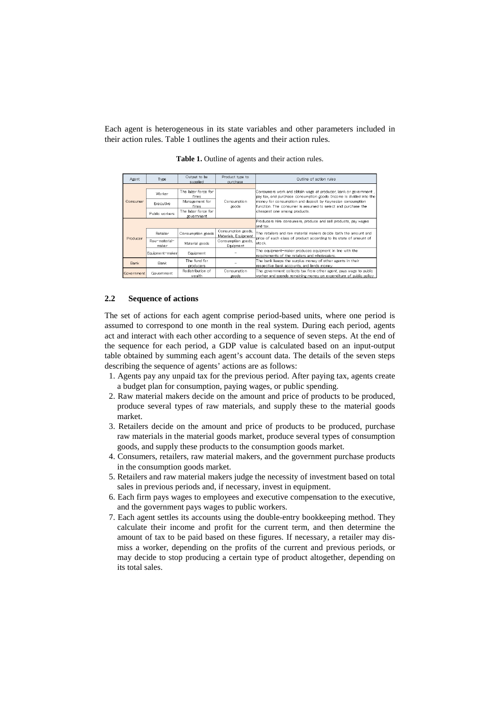Each agent is heterogeneous in its state variables and other parameters included in their action rules. Table 1 outlines the agents and their action rules.

| Agent       | Type                   | Output to be<br>supplied          | Product type to<br>purchase                | Outline of action rules                                                                                                                 |  |  |  |
|-------------|------------------------|-----------------------------------|--------------------------------------------|-----------------------------------------------------------------------------------------------------------------------------------------|--|--|--|
|             |                        |                                   |                                            |                                                                                                                                         |  |  |  |
| Consumer    | Worker                 | The labor force for<br>firms      |                                            | Consumers work and obtain wage at producer, bank or government .<br>pay tax, and purchase consumption goods. Income is divided into the |  |  |  |
|             | Executive              | Management for<br>firms           | Consumption<br>goods                       | money for consumption and deposit by Keynesian consumption<br>function. The consumer is assumed to select and purchase the              |  |  |  |
|             | Public workers         | The labor force for<br>government |                                            | cheapest one among products.                                                                                                            |  |  |  |
|             |                        |                                   |                                            | Producers hire consumers, produce and sell products, pay wages<br>land tax.                                                             |  |  |  |
|             | Retailer               | Consumption goods                 | Consumption goods,<br>Materials, Equipment | The retailers and raw material makers decide both the amount and<br>price of each class of product according to its state of amount of  |  |  |  |
| Producer    | Raw-material-<br>maker | Material goods                    | Consumption goods,<br>Eauipment            | lstock.                                                                                                                                 |  |  |  |
|             | Equipment-maker        | Equipment                         |                                            | The equipment-maker produces equipment in line with the<br>requirements of the retailers and wholesalers.                               |  |  |  |
| <b>Bank</b> | <b>Bank</b>            | The fund for<br>producers         |                                            | The bank keeps the surplus money of other agents in their<br>respective bank accounts, and lends money.                                 |  |  |  |
| Government  | Government             | Redistribution of<br>wealth       | Consumption<br>goods.                      | The government collects tax from other agent, pays wage to public<br>worker and scends remaining money on excenditure of cublic colicy. |  |  |  |

**Table 1.** Outline of agents and their action rules.

### **2.2 Sequence of actions**

The set of actions for each agent comprise period-based units, where one period is assumed to correspond to one month in the real system. During each period, agents act and interact with each other according to a sequence of seven steps. At the end of the sequence for each period, a GDP value is calculated based on an input-output table obtained by summing each agent's account data. The details of the seven steps describing the sequence of agents' actions are as follows:

- 1. Agents pay any unpaid tax for the previous period. After paying tax, agents create a budget plan for consumption, paying wages, or public spending.
- 2. Raw material makers decide on the amount and price of products to be produced, produce several types of raw materials, and supply these to the material goods market.
- 3. Retailers decide on the amount and price of products to be produced, purchase raw materials in the material goods market, produce several types of consumption goods, and supply these products to the consumption goods market.
- 4. Consumers, retailers, raw material makers, and the government purchase products in the consumption goods market.
- 5. Retailers and raw material makers judge the necessity of investment based on total sales in previous periods and, if necessary, invest in equipment.
- 6. Each firm pays wages to employees and executive compensation to the executive, and the government pays wages to public workers.
- 7. Each agent settles its accounts using the double-entry bookkeeping method. They calculate their income and profit for the current term, and then determine the amount of tax to be paid based on these figures. If necessary, a retailer may dismiss a worker, depending on the profits of the current and previous periods, or may decide to stop producing a certain type of product altogether, depending on its total sales.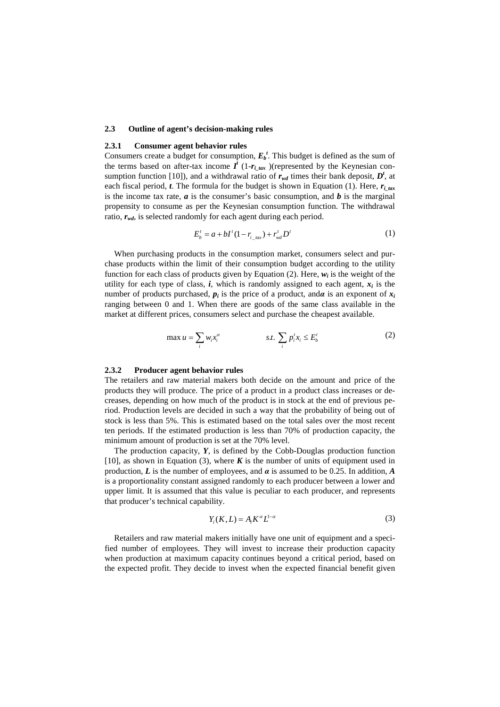### **2.3 Outline of agent's decision-making rules**

### **2.3.1 Consumer agent behavior rules**

Consumers create a budget for consumption,  $E_b^t$ . This budget is defined as the sum of the terms based on after-tax income  $I^t$  (1- $r_{i_t}$ <sub>tax</sub>)(represented by the Keynesian consumption function [10]), and a withdrawal ratio of  $r_{wd}$  times their bank deposit,  $D^t$ , at each fiscal period, *t*. The formula for the budget is shown in Equation (1). Here,  $r_i_{\text{tar}}$ is the income tax rate,  $a$  is the consumer's basic consumption, and  $b$  is the marginal propensity to consume as per the Keynesian consumption function. The withdrawal ratio,  $r_{wd}$ , is selected randomly for each agent during each period.

$$
E_b^t = a + bI^t (1 - r_{i\_tax}) + r_{wd}^t D^t
$$
 (1)

When purchasing products in the consumption market, consumers select and purchase products within the limit of their consumption budget according to the utility function for each class of products given by Equation  $(2)$ . Here,  $w_i$  is the weight of the utility for each type of class,  $\boldsymbol{i}$ , which is randomly assigned to each agent,  $\boldsymbol{x}_i$  is the number of products purchased,  $p_i$  is the price of a product, and $\alpha$  is an exponent of  $x_i$ ranging between 0 and 1. When there are goods of the same class available in the market at different prices, consumers select and purchase the cheapest available.

$$
\max u = \sum_{i} w_i x_i^{\alpha} \qquad \qquad s.t. \sum_{i} p_i^t x_i \le E_b^t \qquad (2)
$$

### **2.3.2 Producer agent behavior rules**

The retailers and raw material makers both decide on the amount and price of the products they will produce. The price of a product in a product class increases or decreases, depending on how much of the product is in stock at the end of previous period. Production levels are decided in such a way that the probability of being out of stock is less than 5%. This is estimated based on the total sales over the most recent ten periods. If the estimated production is less than 70% of production capacity, the minimum amount of production is set at the 70% level.

The production capacity, *Y*, is defined by the Cobb-Douglas production function [10], as shown in Equation (3), where *K* is the number of units of equipment used in production, *L* is the number of employees, and *α* is assumed to be 0.25. In addition, *A* is a proportionality constant assigned randomly to each producer between a lower and upper limit. It is assumed that this value is peculiar to each producer, and represents that producer's technical capability.

$$
Y_i(K,L) = A_i K^{\alpha} L^{1-\alpha} \tag{3}
$$

Retailers and raw material makers initially have one unit of equipment and a specified number of employees. They will invest to increase their production capacity when production at maximum capacity continues beyond a critical period, based on the expected profit. They decide to invest when the expected financial benefit given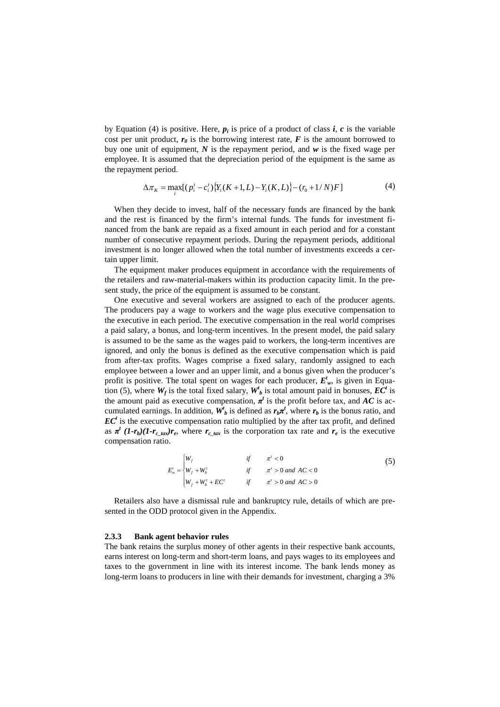by Equation (4) is positive. Here,  $p_i$  is price of a product of class *i*, *c* is the variable cost per unit product,  $r_0$  is the borrowing interest rate,  $\vec{F}$  is the amount borrowed to buy one unit of equipment, *N* is the repayment period, and *w* is the fixed wage per employee. It is assumed that the depreciation period of the equipment is the same as the repayment period.

$$
\Delta \pi_K = \max_i \left[ (p_i^t - c_i^t) \{ Y_i(K+1, L) - Y_i(K, L) \} - (r_0 + 1/N) F \right] \tag{4}
$$

When they decide to invest, half of the necessary funds are financed by the bank and the rest is financed by the firm's internal funds. The funds for investment financed from the bank are repaid as a fixed amount in each period and for a constant number of consecutive repayment periods. During the repayment periods, additional investment is no longer allowed when the total number of investments exceeds a certain upper limit.

The equipment maker produces equipment in accordance with the requirements of the retailers and raw-material-makers within its production capacity limit. In the present study, the price of the equipment is assumed to be constant.

One executive and several workers are assigned to each of the producer agents. The producers pay a wage to workers and the wage plus executive compensation to the executive in each period. The executive compensation in the real world comprises a paid salary, a bonus, and long-term incentives. In the present model, the paid salary is assumed to be the same as the wages paid to workers, the long-term incentives are ignored, and only the bonus is defined as the executive compensation which is paid from after-tax profits. Wages comprise a fixed salary, randomly assigned to each employee between a lower and an upper limit, and a bonus given when the producer's profit is positive. The total spent on wages for each producer, *Et w*, is given in Equation (5), where  $W_f$  is the total fixed salary,  $W'_b$  is total amount paid in bonuses,  $EC^t$  is the amount paid as executive compensation,  $\pi^t$  is the profit before tax, and AC is accumulated earnings. In addition,  $W<sup>t</sup>$  is defined as  $r_b \pi<sup>t</sup>$ , where  $r_b$  is the bonus ratio, and  $EC<sup>t</sup>$  is the executive compensation ratio multiplied by the after tax profit, and defined as  $\pi^{t}$  (1- $r_{b}$ )(1- $r_{c\_{\text{max}}$ ) $r_{e}$ , where  $r_{c\_{\text{max}}}$  is the corporation tax rate and  $r_{e}$  is the executive compensation ratio.

$$
E'_{w} = \begin{cases} W_{f} & \text{if } \pi' < 0 \\ W_{f} + W'_{b} & \text{if } \pi' > 0 \text{ and } AC < 0 \\ W_{f} + W'_{b} + EC' & \text{if } \pi' > 0 \text{ and } AC > 0 \end{cases}
$$
 (5)

Retailers also have a dismissal rule and bankruptcy rule, details of which are presented in the ODD protocol given in the Appendix.

### **2.3.3 Bank agent behavior rules**

The bank retains the surplus money of other agents in their respective bank accounts, earns interest on long-term and short-term loans, and pays wages to its employees and taxes to the government in line with its interest income. The bank lends money as long-term loans to producers in line with their demands for investment, charging a 3%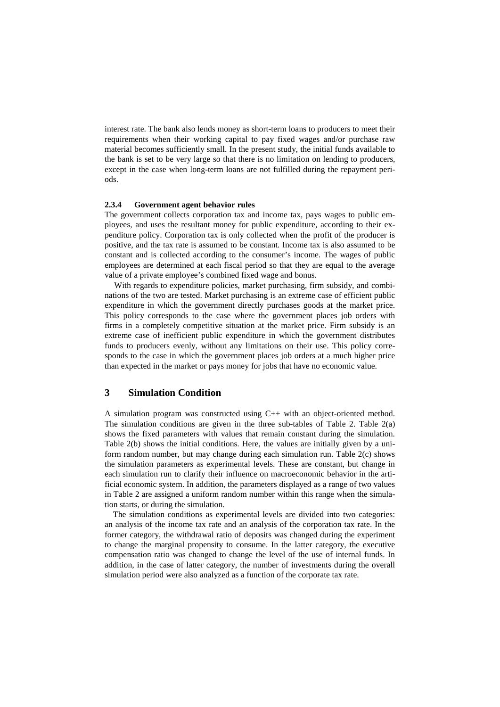interest rate. The bank also lends money as short-term loans to producers to meet their requirements when their working capital to pay fixed wages and/or purchase raw material becomes sufficiently small. In the present study, the initial funds available to the bank is set to be very large so that there is no limitation on lending to producers, except in the case when long-term loans are not fulfilled during the repayment periods.

### **2.3.4 Government agent behavior rules**

The government collects corporation tax and income tax, pays wages to public employees, and uses the resultant money for public expenditure, according to their expenditure policy. Corporation tax is only collected when the profit of the producer is positive, and the tax rate is assumed to be constant. Income tax is also assumed to be constant and is collected according to the consumer's income. The wages of public employees are determined at each fiscal period so that they are equal to the average value of a private employee's combined fixed wage and bonus.

With regards to expenditure policies, market purchasing, firm subsidy, and combinations of the two are tested. Market purchasing is an extreme case of efficient public expenditure in which the government directly purchases goods at the market price. This policy corresponds to the case where the government places job orders with firms in a completely competitive situation at the market price. Firm subsidy is an extreme case of inefficient public expenditure in which the government distributes funds to producers evenly, without any limitations on their use. This policy corresponds to the case in which the government places job orders at a much higher price than expected in the market or pays money for jobs that have no economic value.

### **3 Simulation Condition**

A simulation program was constructed using C++ with an object-oriented method. The simulation conditions are given in the three sub-tables of Table 2. Table 2(a) shows the fixed parameters with values that remain constant during the simulation. Table 2(b) shows the initial conditions. Here, the values are initially given by a uniform random number, but may change during each simulation run. Table 2(c) shows the simulation parameters as experimental levels. These are constant, but change in each simulation run to clarify their influence on macroeconomic behavior in the artificial economic system. In addition, the parameters displayed as a range of two values in Table 2 are assigned a uniform random number within this range when the simulation starts, or during the simulation.

The simulation conditions as experimental levels are divided into two categories: an analysis of the income tax rate and an analysis of the corporation tax rate. In the former category, the withdrawal ratio of deposits was changed during the experiment to change the marginal propensity to consume. In the latter category, the executive compensation ratio was changed to change the level of the use of internal funds. In addition, in the case of latter category, the number of investments during the overall simulation period were also analyzed as a function of the corporate tax rate.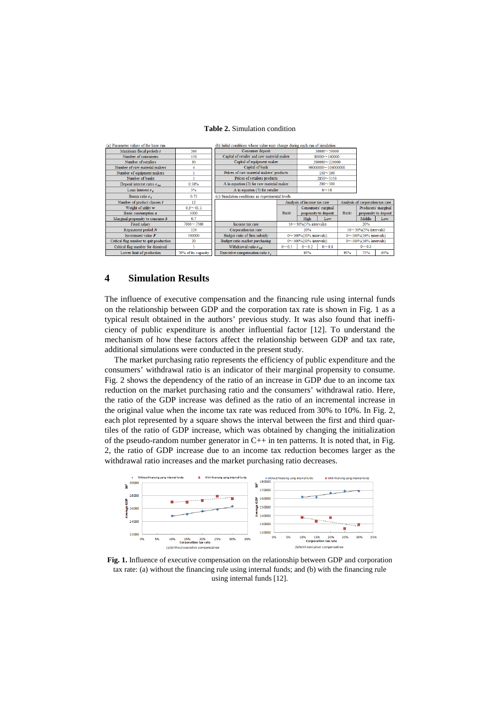### **Table 2.** Simulation condition

| (a) Parameter values of the base run    |                     | (b) Initial conditions whose value may change during each run of simulation |                             |                       |                                |              |                                  |     |  |
|-----------------------------------------|---------------------|-----------------------------------------------------------------------------|-----------------------------|-----------------------|--------------------------------|--------------|----------------------------------|-----|--|
| Maximum fiscal periods t                | 360                 | Consumer deposit                                                            | $30000 - 50000$             |                       |                                |              |                                  |     |  |
| Number of consumers                     | 150                 | Capital of retailer and raw material maker                                  |                             | $80000 - 160000$      |                                |              |                                  |     |  |
| Number of retailers                     | 30                  | Capital of equipment maker                                                  |                             |                       | 200000~220000                  |              |                                  |     |  |
| Number of raw material makers           | 4                   | Capital of bank                                                             |                             |                       | 96000000~104000000             |              |                                  |     |  |
| Number of equipment makers              |                     | Prices of raw material makers' products                                     |                             |                       | $130 - 160$                    |              |                                  |     |  |
| Number of banks                         |                     | Prices of retailers products                                                |                             |                       | $2850 - 3150$                  |              |                                  |     |  |
| Deposit interest rates $r_{inc}$        | 0.50%               | A in equation (7) for raw material maker                                    |                             |                       | $200 - 300$                    |              |                                  |     |  |
| Loan Interest $r_a$                     | 3%                  | A in equation (7) for retailer                                              |                             | $8 - 18$              |                                |              |                                  |     |  |
| Bonus ratio $rn$                        | 0.75                | (c) Simulation conditions as experimental levels                            |                             |                       |                                |              |                                  |     |  |
| Number of product classes $i$           | 12                  |                                                                             | Analysis of income tax rate |                       |                                |              | Analysis of corporation tax rate |     |  |
| Weight of utility w                     | $0.3 - 01.1$        |                                                                             |                             | Consumers' carginal   |                                |              | Producers' marginal              |     |  |
| Basic consumption a                     | 3000                |                                                                             | <b>Basic</b>                |                       | propensity to deposit          | <b>Basic</b> | propensity to deposit            |     |  |
| Marginal propensity to consume b        | 0.7                 |                                                                             |                             | High                  | Low                            |              | Middle                           | Low |  |
| Fixed salary                            | $7000 - 7500$       | $10~\sim$ 30% (5% intervals)<br>Income tax rate                             |                             |                       | 20%                            |              |                                  |     |  |
| Repayment period $N$                    | 120                 | Corporation tax rate<br>20%                                                 |                             |                       | $10 \sim 30\%$ (5% intervals)  |              |                                  |     |  |
| Investment value $F$                    | 500000              | Budget ratio of firm subsidy<br>$0 \sim 100\% (10\%$ intervals)             |                             |                       | $0 \sim 100\%$ (10% intervals) |              |                                  |     |  |
| Critical flag number to quit production | 20                  | Budget ratio market purchasing<br>0~100%(10% intervals)                     |                             | 0~100%(10% intervals) |                                |              |                                  |     |  |
| Critical flag number for dismissal      | 5                   | Withdrawal ratio $r_{uu}$<br>$0 - 0.8$<br>$0 - 0.5$<br>$0 - 0.2$            |                             |                       | $0 - 0.5$                      |              |                                  |     |  |
| Lower limit of production               | 70% of its capacity | Executive compensation ratio $rs$                                           |                             | 95%                   |                                | 95%          | 75%                              | 65% |  |

### **4 Simulation Results**

The influence of executive compensation and the financing rule using internal funds on the relationship between GDP and the corporation tax rate is shown in Fig. 1 as a typical result obtained in the authors' previous study. It was also found that inefficiency of public expenditure is another influential factor [12]. To understand the mechanism of how these factors affect the relationship between GDP and tax rate, additional simulations were conducted in the present study.

The market purchasing ratio represents the efficiency of public expenditure and the consumers' withdrawal ratio is an indicator of their marginal propensity to consume. Fig. 2 shows the dependency of the ratio of an increase in GDP due to an income tax reduction on the market purchasing ratio and the consumers' withdrawal ratio. Here, the ratio of the GDP increase was defined as the ratio of an incremental increase in the original value when the income tax rate was reduced from 30% to 10%. In Fig. 2, each plot represented by a square shows the interval between the first and third quartiles of the ratio of GDP increase, which was obtained by changing the initialization of the pseudo-random number generator in  $C_{++}$  in ten patterns. It is noted that, in Fig. 2, the ratio of GDP increase due to an income tax reduction becomes larger as the withdrawal ratio increases and the market purchasing ratio decreases.



**Fig. 1.** Influence of executive compensation on the relationship between GDP and corporation tax rate: (a) without the financing rule using internal funds; and (b) with the financing rule using internal funds [12].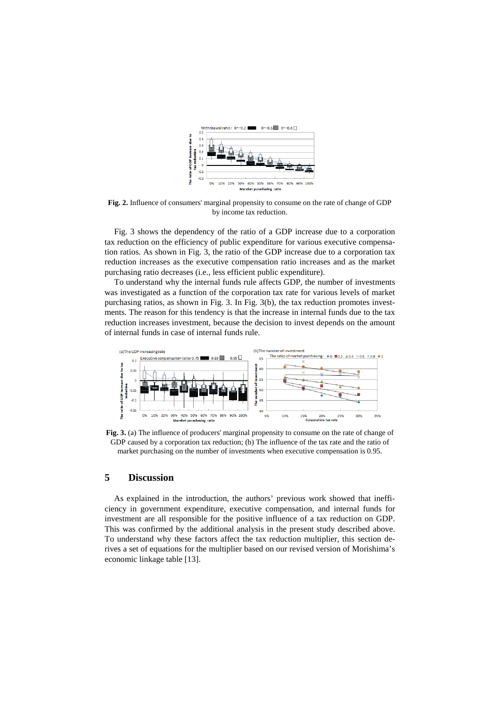

**Fig. 2.** Influence of consumers' marginal propensity to consume on the rate of change of GDP by income tax reduction.

Fig. 3 shows the dependency of the ratio of a GDP increase due to a corporation tax reduction on the efficiency of public expenditure for various executive compensation ratios. As shown in Fig. 3, the ratio of the GDP increase due to a corporation tax reduction increases as the executive compensation ratio increases and as the market purchasing ratio decreases (i.e., less efficient public expenditure).

To understand why the internal funds rule affects GDP, the number of investments was investigated as a function of the corporation tax rate for various levels of market purchasing ratios, as shown in Fig. 3. In Fig. 3(b), the tax reduction promotes investments. The reason for this tendency is that the increase in internal funds due to the tax reduction increases investment, because the decision to invest depends on the amount of internal funds in case of internal funds rule.



**Fig. 3.** (a) The influence of producers' marginal propensity to consume on the rate of change of GDP caused by a corporation tax reduction; (b) The influence of the tax rate and the ratio of market purchasing on the number of investments when executive compensation is 0.95.

# **5 Discussion**

As explained in the introduction, the authors' previous work showed that inefficiency in government expenditure, executive compensation, and internal funds for investment are all responsible for the positive influence of a tax reduction on GDP. This was confirmed by the additional analysis in the present study described above. To understand why these factors affect the tax reduction multiplier, this section derives a set of equations for the multiplier based on our revised version of Morishima's economic linkage table [13].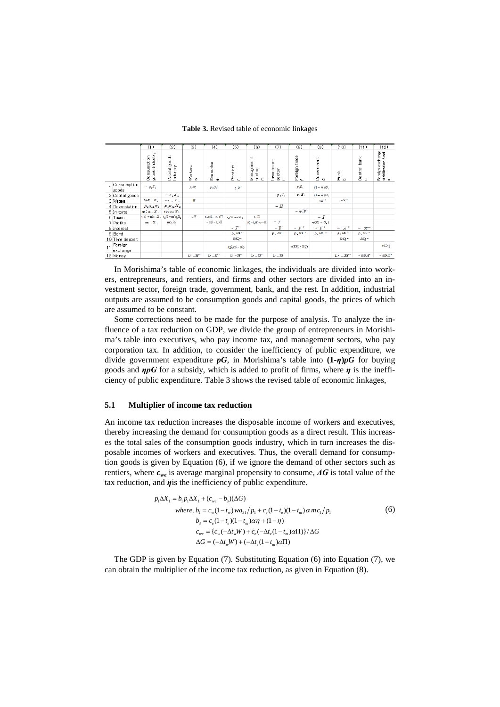|                           | (1)                           | (2)                                 | (3)               | (4)                                 | (5)                                                | (6)                           | (7)                                    | (8)                              | (9)                         | (10)                   | (11)                         | (12)                                        |
|---------------------------|-------------------------------|-------------------------------------|-------------------|-------------------------------------|----------------------------------------------------|-------------------------------|----------------------------------------|----------------------------------|-----------------------------|------------------------|------------------------------|---------------------------------------------|
|                           | goods Industry<br>Consumption | goods<br>Industry<br>Capital        | Workers<br>$\geq$ | Executive<br>$\omega$               | Rentiers<br>$\sim$                                 | Management<br>sector<br>ε     | Investment<br>sector<br>$\overline{a}$ | trade<br>Foreign<br>$\leftarrow$ | Government<br>60            | ¥<br>a ه               | Central bank<br>$\circ$      | Foreign exchange<br>stabilization fund<br>s |
| Consumption<br>goods      | $= p_1 X_1$                   |                                     | $p, D^*$          | p, D                                | $p_1D_1^+$                                         |                               |                                        | $p_1E_1$                         | $(1 - \eta)G_1$             |                        |                              |                                             |
| 2 Capital goods           |                               | $= p_x x_x$                         |                   |                                     |                                                    |                               | $p_2I_2$                               | $p_1E_1$                         | $(1 - \eta)G_z$             |                        |                              |                                             |
| 3 Wages                   | $wa_{n}X_{n}$                 | $wa_{12} X_2$                       | $ W$              |                                     |                                                    |                               |                                        |                                  | $W^{X}$                     | wN <sup>3</sup>        |                              |                                             |
| 4 Depreciation            | $p_4a_4X_1$                   | $p_4a_{42}X_2$                      |                   |                                     |                                                    |                               | $-$ H                                  |                                  |                             |                        |                              |                                             |
| 5 Imports                 | $\mathbf{rp}$ ; $a_n$ , $X_n$ | $rp_1a_nX_2$                        |                   |                                     |                                                    |                               |                                        | $-p$ $F$                         |                             |                        |                              |                                             |
| 6 Taxes                   |                               | $t_1(1+m)c_1X_1$ , $t_2(1+m)c_2X_2$ | $t\sqrt{W}$       | $t_{\rm s}\alpha(1-t_{\rm m})\prod$ | $\iota_{\nu}(\overline{A}'+r\overline{B}^{\zeta})$ | $t_n \Pi$                     |                                        |                                  | $- T$                       |                        |                              |                                             |
| 7 Profits                 | $m_1$ , $X_1$                 | $mc_2X_2$                           |                   | $-\alpha(1-t_n)\Pi$                 |                                                    | $a(1-t_1)\Pi + \gamma - \Pi$  | $-7$                                   |                                  | $\eta(G_i+G_i)$             |                        |                              |                                             |
| 8 Interest                |                               |                                     |                   |                                     | $-\overline{A}$                                    |                               | $-\overline{B}^t$                      | $ \overline{B}^{-1}$             | $ \overline{B}^{-2}$        | $=$ $\overline{A}^*$   | $ \pi$ <sup>.</sup>          |                                             |
| 9 Bond                    |                               |                                     |                   |                                     | p. SB *                                            |                               | $\mathbf{p} \in \delta B^{-t}$         | $p, \overline{a}$ B <sup>1</sup> | $p, \delta B$ $\rightarrow$ | $p_+$ SB $^+$          | $p_{\alpha}$ $\delta B^{-1}$ |                                             |
| 10 Time deposit           |                               |                                     |                   |                                     | δQ.                                                |                               |                                        |                                  |                             | δQ*                    | δQ·                          |                                             |
| Foreign<br>11<br>exchange |                               |                                     |                   |                                     | $r(p_1'5B'_2 - B'_2)$                              |                               |                                        | $r(D_1' - S_1')$                 |                             |                        |                              | ID <sub>i</sub>                             |
| 12 Money                  |                               |                                     | $L^* - M$         | $L^* - M^*$                         | $\mathbf{L}^*-\overline{M}^*$                      | $\mathbb{L}^*-\overline{M}^*$ | $L' - M'$                              |                                  |                             | $L^* - \overline{M}^*$ | $-5M$                        | $-5M^*$                                     |

### **Table 3.** Revised table of economic linkages

In Morishima's table of economic linkages, the individuals are divided into workers, entrepreneurs, and rentiers, and firms and other sectors are divided into an investment sector, foreign trade, government, bank, and the rest. In addition, industrial outputs are assumed to be consumption goods and capital goods, the prices of which are assumed to be constant.

Some corrections need to be made for the purpose of analysis. To analyze the influence of a tax reduction on GDP, we divide the group of entrepreneurs in Morishima's table into executives, who pay income tax, and management sectors, who pay corporation tax. In addition, to consider the inefficiency of public expenditure, we divide government expenditure *pG*, in Morishima's table into **(1-***η***)***pG* for buying goods and *ηpG* for a subsidy, which is added to profit of firms, where *η* is the inefficiency of public expenditure. Table 3 shows the revised table of economic linkages,

### **5.1 Multiplier of income tax reduction**

An income tax reduction increases the disposable income of workers and executives, thereby increasing the demand for consumption goods as a direct result. This increases the total sales of the consumption goods industry, which in turn increases the disposable incomes of workers and executives. Thus, the overall demand for consumption goods is given by Equation (6), if we ignore the demand of other sectors such as rentiers, where *cwe* is average marginal propensity to consume, *ΔG* is total value of the tax reduction, and *η*is the inefficiency of public expenditure.

$$
p_1 \Delta X_1 = b_1 p_1 \Delta X_1 + (c_{we} - b_3)(\Delta G)
$$
  
\nwhere,  $b_1 = c_w (1 - t_w) w a_{31} / p_1 + c_e (1 - t_e)(1 - t_m) \alpha m c_1 / p_1$   
\n $b_3 = c_e (1 - t_e)(1 - t_m) \alpha \eta + (1 - \eta)$   
\n $c_{we} = \{c_w (-\Delta t_w W) + c_e (-\Delta t_e (1 - t_m) \alpha \Pi)\} / \Delta G$   
\n $\Delta G = (-\Delta t_w W) + (-\Delta t_e (1 - t_m) \alpha \Pi)$ 

The GDP is given by Equation (7). Substituting Equation (6) into Equation (7), we can obtain the multiplier of the income tax reduction, as given in Equation (8).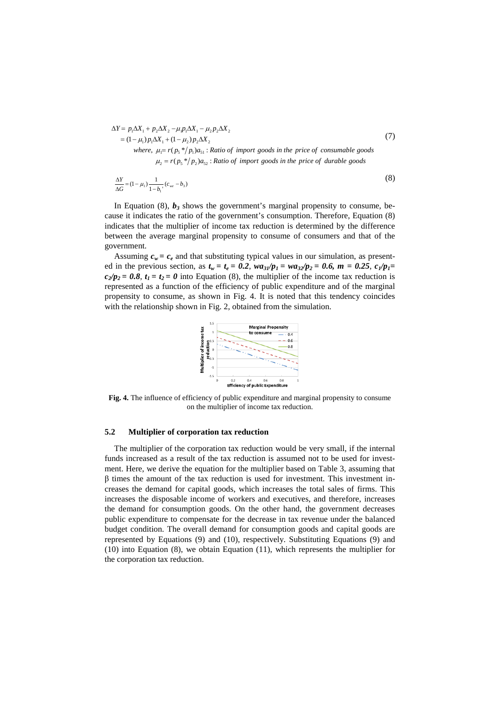$$
\Delta Y = p_1 \Delta X_1 + p_2 \Delta X_2 - \mu_1 p_1 \Delta X_1 - \mu_2 p_2 \Delta X_2
$$
  
\n
$$
= (1 - \mu_1) p_1 \Delta X_1 + (1 - \mu_2) p_2 \Delta X_2
$$
  
\nwhere,  $\mu_1 = r(p_5 * / p_1) a_{51}$ : Ratio of import goods in the price of consumable goods  
\n $\mu_2 = r(p_5 * / p_2) a_{52}$ : Ratio of import goods in the price of durable goods

$$
\frac{\Delta Y}{\Delta G} = (1 - \mu_1) \frac{1}{1 - b_1} (c_{we} - b_3)
$$
\n(8)

In Equation  $(8)$ ,  $b_3$  shows the government's marginal propensity to consume, because it indicates the ratio of the government's consumption. Therefore, Equation (8) indicates that the multiplier of income tax reduction is determined by the difference between the average marginal propensity to consume of consumers and that of the government.

Assuming  $c_w = c_e$  and that substituting typical values in our simulation, as presented in the previous section, as  $t_w = t_e = 0.2$ ,  $w a_{31}/p_1 = w a_{32}/p_2 = 0.6$ ,  $m = 0.25$ ,  $c_1/p_1 =$  $c_2/p_2 = 0.8$ ,  $t_1 = t_2 = 0$  into Equation (8), the multiplier of the income tax reduction is represented as a function of the efficiency of public expenditure and of the marginal propensity to consume, as shown in Fig. 4. It is noted that this tendency coincides with the relationship shown in Fig. 2, obtained from the simulation.



**Fig. 4.** The influence of efficiency of public expenditure and marginal propensity to consume on the multiplier of income tax reduction.

### **5.2 Multiplier of corporation tax reduction**

The multiplier of the corporation tax reduction would be very small, if the internal funds increased as a result of the tax reduction is assumed not to be used for investment. Here, we derive the equation for the multiplier based on Table 3, assuming that  $β$  times the amount of the tax reduction is used for investment. This investment increases the demand for capital goods, which increases the total sales of firms. This increases the disposable income of workers and executives, and therefore, increases the demand for consumption goods. On the other hand, the government decreases public expenditure to compensate for the decrease in tax revenue under the balanced budget condition. The overall demand for consumption goods and capital goods are represented by Equations (9) and (10), respectively. Substituting Equations (9) and (10) into Equation (8), we obtain Equation (11), which represents the multiplier for the corporation tax reduction.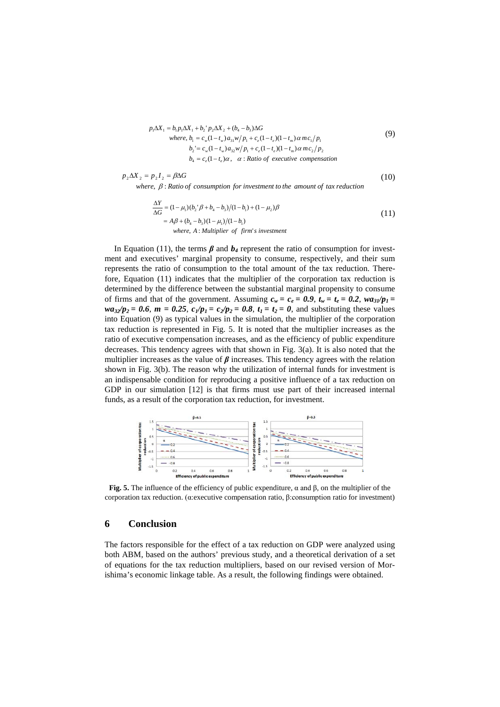$$
p_1 \Delta X_1 = b_1 p_1 \Delta X_1 + b_2' p_2 \Delta X_2 + (b_4 - b_3) \Delta G
$$
  
\nwhere,  $b_1 = c_w (1 - t_w) a_{31} w / p_1 + c_e (1 - t_e) (1 - t_m) \alpha m c_1 / p_1$   
\n $b_2 = c_w (1 - t_w) a_{32} w / p_1 + c_e (1 - t_e) (1 - t_m) \alpha m c_2 / p_2$   
\n $b_4 = c_e (1 - t_e) \alpha, \ \alpha$ : Ratio of executive compensation

$$
p_2 \Delta X_2 = p_2 I_2 = \beta \Delta G
$$
 (10)  
where,  $\beta$ : Ratio of consumption for investment to the amount of tax reduction

$$
\frac{\Delta Y}{\Delta G} = (1 - \mu_1)(b_2' \beta + b_4 - b_3)/(1 - b_1) + (1 - \mu_2)\beta
$$
  
=  $A\beta + (b_4 - b_3)(1 - \mu_1)/(1 - b_1)$   
where, A : Multiplier of firm's investment

In Equation (11), the terms  $\beta$  and  $b_4$  represent the ratio of consumption for investment and executives' marginal propensity to consume, respectively, and their sum represents the ratio of consumption to the total amount of the tax reduction. Therefore, Equation (11) indicates that the multiplier of the corporation tax reduction is determined by the difference between the substantial marginal propensity to consume of firms and that of the government. Assuming  $c_w = c_e = 0.9$ ,  $t_w = t_e = 0.2$ ,  $w a_3 / p_1 =$  $wa_{32}/p_2 = 0.6$ ,  $m = 0.25$ ,  $c_1/p_1 = c_2/p_2 = 0.8$ ,  $t_1 = t_2 = 0$ , and substituting these values into Equation (9) as typical values in the simulation, the multiplier of the corporation tax reduction is represented in Fig. 5. It is noted that the multiplier increases as the ratio of executive compensation increases, and as the efficiency of public expenditure decreases. This tendency agrees with that shown in Fig. 3(a). It is also noted that the multiplier increases as the value of  $\beta$  increases. This tendency agrees with the relation shown in Fig. 3(b). The reason why the utilization of internal funds for investment is an indispensable condition for reproducing a positive influence of a tax reduction on GDP in our simulation [12] is that firms must use part of their increased internal funds, as a result of the corporation tax reduction, for investment.



**Fig. 5.** The influence of the efficiency of public expenditure,  $\alpha$  and  $\beta$ , on the multiplier of the corporation tax reduction. (α:executive compensation ratio, β:consumption ratio for investment)

### **6 Conclusion**

The factors responsible for the effect of a tax reduction on GDP were analyzed using both ABM, based on the authors' previous study, and a theoretical derivation of a set of equations for the tax reduction multipliers, based on our revised version of Morishima's economic linkage table. As a result, the following findings were obtained.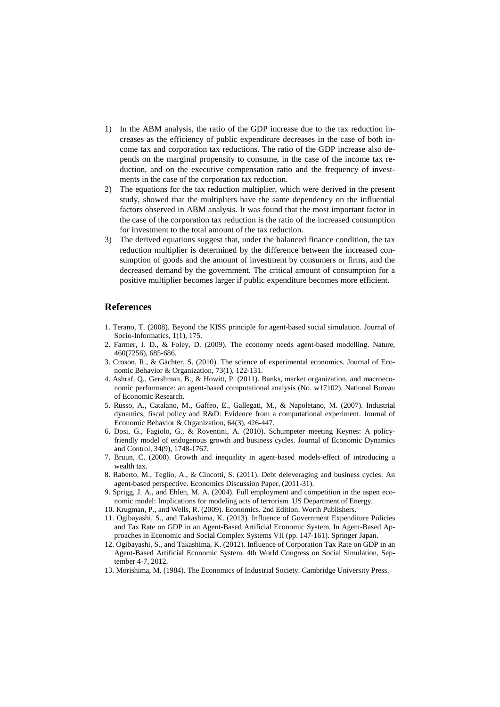- 1) In the ABM analysis, the ratio of the GDP increase due to the tax reduction increases as the efficiency of public expenditure decreases in the case of both income tax and corporation tax reductions. The ratio of the GDP increase also depends on the marginal propensity to consume, in the case of the income tax reduction, and on the executive compensation ratio and the frequency of investments in the case of the corporation tax reduction.
- 2) The equations for the tax reduction multiplier, which were derived in the present study, showed that the multipliers have the same dependency on the influential factors observed in ABM analysis. It was found that the most important factor in the case of the corporation tax reduction is the ratio of the increased consumption for investment to the total amount of the tax reduction.
- 3) The derived equations suggest that, under the balanced finance condition, the tax reduction multiplier is determined by the difference between the increased consumption of goods and the amount of investment by consumers or firms, and the decreased demand by the government. The critical amount of consumption for a positive multiplier becomes larger if public expenditure becomes more efficient.

## **References**

- 1. Terano, T. (2008). Beyond the KISS principle for agent-based social simulation. Journal of Socio-Informatics, 1(1), 175.
- 2. Farmer, J. D., & Foley, D. (2009). The economy needs agent-based modelling. Nature, 460(7256), 685-686.
- 3. Croson, R., & Gächter, S. (2010). The science of experimental economics. Journal of Economic Behavior & Organization, 73(1), 122-131.
- 4. Ashraf, Q., Gershman, B., & Howitt, P. (2011). Banks, market organization, and macroeconomic performance: an agent-based computational analysis (No. w17102). National Bureau of Economic Research.
- 5. Russo, A., Catalano, M., Gaffeo, E., Gallegati, M., & Napoletano, M. (2007). Industrial dynamics, fiscal policy and R&D: Evidence from a computational experiment. Journal of Economic Behavior & Organization, 64(3), 426-447.
- 6. Dosi, G., Fagiolo, G., & Roventini, A. (2010). Schumpeter meeting Keynes: A policyfriendly model of endogenous growth and business cycles. Journal of Economic Dynamics and Control, 34(9), 1748-1767.
- 7. Bruun, C. (2000). Growth and inequality in agent-based models-effect of introducing a wealth tax.
- 8. Raberto, M., Teglio, A., & Cincotti, S. (2011). Debt deleveraging and business cycles: An agent-based perspective. Economics Discussion Paper, (2011-31).
- 9. Sprigg, J. A., and Ehlen, M. A. (2004). Full employment and competition in the aspen economic model: Implications for modeling acts of terrorism. US Department of Energy.
- 10. Krugman, P., and Wells, R. (2009). Economics. 2nd Edition. Worth Publishers.
- 11. Ogibayashi, S., and Takashima, K. (2013). Influence of Government Expenditure Policies and Tax Rate on GDP in an Agent-Based Artificial Economic System. In Agent-Based Approaches in Economic and Social Complex Systems VII (pp. 147-161). Springer Japan.
- 12. Ogibayashi, S., and Takashima, K. (2012). Influence of Corporation Tax Rate on GDP in an Agent-Based Artificial Economic System. 4th World Congress on Social Simulation, September 4-7, 2012.
- 13. Morishima, M. (1984). The Economics of Industrial Society. Cambridge University Press.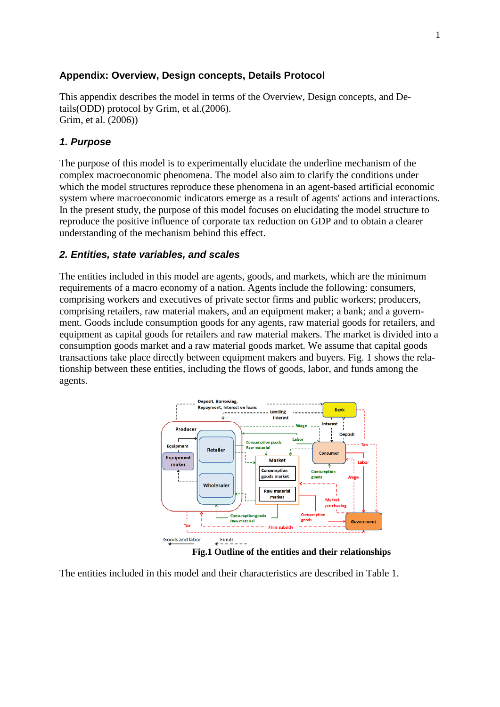# **Appendix: Overview, Design concepts, Details Protocol**

This appendix describes the model in terms of the Overview, Design concepts, and Details(ODD) protocol by Grim, et al.(2006). Grim, et al. (2006))

# *1. Purpose*

The purpose of this model is to experimentally elucidate the underline mechanism of the complex macroeconomic phenomena. The model also aim to clarify the conditions under which the model structures reproduce these phenomena in an agent-based artificial economic system where macroeconomic indicators emerge as a result of agents' actions and interactions. In the present study, the purpose of this model focuses on elucidating the model structure to reproduce the positive influence of corporate tax reduction on GDP and to obtain a clearer understanding of the mechanism behind this effect.

# *2. Entities, state variables, and scales*

The entities included in this model are agents, goods, and markets, which are the minimum requirements of a macro economy of a nation. Agents include the following: consumers, comprising workers and executives of private sector firms and public workers; producers, comprising retailers, raw material makers, and an equipment maker; a bank; and a government. Goods include consumption goods for any agents, raw material goods for retailers, and equipment as capital goods for retailers and raw material makers. The market is divided into a consumption goods market and a raw material goods market. We assume that capital goods transactions take place directly between equipment makers and buyers. Fig. 1 shows the relationship between these entities, including the flows of goods, labor, and funds among the agents.



**Fig.1 Outline of the entities and their relationships**

The entities included in this model and their characteristics are described in Table 1.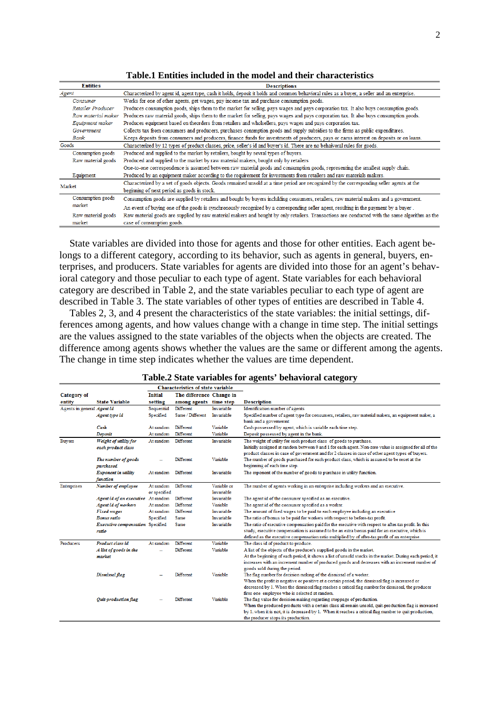| <b>Entities</b>    | <b>Descriptions</b>                                                                                                                            |
|--------------------|------------------------------------------------------------------------------------------------------------------------------------------------|
| Agent              | Characterized by agent id, agent type, cash it holds, deposit it holds and common behavioral rules as a buyer, a seller and an enterprise.     |
| Consumer           | Works for one of other agents, get wages, pay income tax and purchase consumption goods.                                                       |
| Retailer Producer  | Produces consumption goods, ships them to the market for selling, pays wages and pays corporation tax. It also buys consumption goods.         |
| Raw material maker | Produces raw material goods, ships them to the market for selling, pays wages and pays corporation tax. It also buys consumption goods.        |
| Equipment maker    | Produces equipment based on theorders from retailers and wholsellers, pays wages and pays corporation tax.                                     |
| Government         | Collects tax from consumers and producers, purchases consmption goods and supply subsidies to the firms as public expenditures.                |
| Bank               | Keeps deposits from consumers and producers, finance funds for investments of producers, pays or earns interest on deposits or on loans.       |
| Goods              | Characterized by 12 types of product classes, price, seller's id and buyer's id. There are no behaivoral rules for goods.                      |
| Consumption goods  | Produced and supplied to the market by retailers, bought by sevral types of buyers.                                                            |
| Raw material goods | Produced and supplied to the market by raw material makers, bought only by retailers                                                           |
|                    | One-to-one correspondence is assumed between raw material goods and consumption goods, representing the smallest supply chain.                 |
| Equipment          | Produced by an equipment maker according to the requirement for investments from retailers and raw materials makers.                           |
| Market             | Characterized by a set of goods objects. Goods remained unsold at a time period are recognized by the corresponding seller agents at the       |
|                    | beginning of next period as goods in stock.                                                                                                    |
| Consumption goods  | Consumption goods are supplied by retailers and bought by buyers including consumers, retailers, raw material makers and a government.         |
| market             | An event of buying one of the goods is synchronously recognized by a corresponding seller agent, resulting in the payment by a buyer.          |
| Raw material goods | Raw material goods are supplied by raw material makers and bought by only retailers. Transactions are conducted with the same algorithm as the |
| market             | case of consumption goods.                                                                                                                     |

### **Table.1 Entities included in the model and their characteristics**

State variables are divided into those for agents and those for other entities. Each agent belongs to a different category, according to its behavior, such as agents in general, buyers, enterprises, and producers. State variables for agents are divided into those for an agent's behavioral category and those peculiar to each type of agent. State variables for each behavioral category are described in Table 2, and the state variables peculiar to each type of agent are described in Table 3. The state variables of other types of entities are described in Table 4.

Tables 2, 3, and 4 present the characteristics of the state variables: the initial settings, differences among agents, and how values change with a change in time step. The initial settings are the values assigned to the state variables of the objects when the objects are created. The difference among agents shows whether the values are the same or different among the agents. The change in time step indicates whether the values are time dependent.

| <b>Characteristics of state variable</b> |                                    |                |                          |             |                                                                                                                                                                                                                |
|------------------------------------------|------------------------------------|----------------|--------------------------|-------------|----------------------------------------------------------------------------------------------------------------------------------------------------------------------------------------------------------------|
| Category of                              |                                    | <b>Initial</b> | The difference Change in |             |                                                                                                                                                                                                                |
| entity                                   | <b>State Variable</b>              | setting        | among agents time step   |             | <b>Description</b>                                                                                                                                                                                             |
| Agents in general Agent id               |                                    | Sequential     | Different                | Invariable  | Identification number of agents                                                                                                                                                                                |
|                                          | Agent type id                      | Specified      | Same / Different         | Invariable  | Specified number of agent type for consumers, retailers, raw material makers, an equipment maker, a                                                                                                            |
|                                          |                                    |                |                          |             | bank and a governemnt                                                                                                                                                                                          |
|                                          | Cash                               | At random      | Different                | Variable    | Cash possessed by agent, which is variable each time step.                                                                                                                                                     |
|                                          | <b>Deposit</b>                     | At random      | Different                | Variable    | Deposit possessed by agent in the bank.                                                                                                                                                                        |
| <b>Buyers</b>                            | Weight of utility for              | At random      | Different                | Invariable  | The weight of utility for each product class of goods to purchase.                                                                                                                                             |
|                                          | each product class                 |                |                          |             | Initially assigned at random between 0 and 1 for each agent. Non-zero value is assigned for all of the                                                                                                         |
|                                          |                                    |                |                          |             | product classes in case of government and for 2 classes in case of other agent types of buyers.                                                                                                                |
|                                          | The number of goods                |                | <b>Different</b>         | Variable    | The number of goods purchased for each product class, which is assumed to be reset at the                                                                                                                      |
|                                          | purchased                          |                |                          |             | beginning of each time step.                                                                                                                                                                                   |
|                                          | <b>Exponent</b> in utility         | At random      | Different                | Invariable  | The exponent of the number of goods to purchase in utility function.                                                                                                                                           |
|                                          | function                           |                |                          |             |                                                                                                                                                                                                                |
| <b>Enterprises</b>                       | Number of employee                 | At random      | Different                | Variable or | The number of agents working in an enterprise including workers and an executive.                                                                                                                              |
|                                          |                                    | or specified   |                          | Invariable  |                                                                                                                                                                                                                |
|                                          | Agent id of an executive At random |                | Different                | Invariable  | The agent id of the consumer specified as an executive.                                                                                                                                                        |
|                                          | <b>Agent id of workers</b>         | At random      | Different                | Variable    | The agent id of the consumer specified as a worker.                                                                                                                                                            |
|                                          | <b>Fixed wages</b>                 | At random      | Different                | Invariable  | The amount of fixed wages to be paid to each employee including an executive                                                                                                                                   |
|                                          | <b>Bonus ratio</b>                 | Specified      | <b>Same</b>              | Invariable  | The ratio of bonus to be paid for workers with respect to before-tax profit.                                                                                                                                   |
|                                          | Executive compensation Specified   |                | Same                     | Invariable  | The ratio of executive compensation paid for the executive with respect to after-tax profit. In this                                                                                                           |
|                                          | ratio                              |                |                          |             | study, executive compensation is assumed to be an extra bonus paid for an executive, which is                                                                                                                  |
|                                          |                                    |                |                          |             | defined as the executive compensation ratio multiplied by of after-tax profit of an enterprise.                                                                                                                |
| Producers                                | Product class id                   | At random      | Different                | Variable    | The class id of product to produce.                                                                                                                                                                            |
|                                          | A list of goods in the             |                | Different                | Variable    | A list of the objects of the producer's supplied goods in the market.                                                                                                                                          |
|                                          | market                             |                |                          |             | At the beginning of each period, it shows a list of unsold stocks in the market. During each period, it                                                                                                        |
|                                          |                                    |                |                          |             | increases with an increment number of produced goods and decreases with an increment number of                                                                                                                 |
|                                          |                                    |                |                          |             | goods sold during the period.                                                                                                                                                                                  |
|                                          | Dismissal flag                     |                | Different                | Variable    | The flag number for decision making of the dismissal of a worker.                                                                                                                                              |
|                                          |                                    |                |                          |             | When the profit is negative or positive at a certain period, the dismissal flag is increased or                                                                                                                |
|                                          |                                    |                |                          |             | decreased by 1. When the dismissal flag reaches a critical flag number for dismissal, the producer                                                                                                             |
|                                          |                                    |                | Different                |             | fires one employee who is selected at random.                                                                                                                                                                  |
|                                          | Quit-production flag               |                |                          | Variable    | The flag value for decision making regarding stoppage of production.                                                                                                                                           |
|                                          |                                    |                |                          |             | When the produced products with a certain class all remain unsold, quit-production flag is increased<br>by 1. when it is not, it is decreased by 1. When it reaches a critical flag number to quit production, |
|                                          |                                    |                |                          |             | the producer stops its production.                                                                                                                                                                             |
|                                          |                                    |                |                          |             |                                                                                                                                                                                                                |

### **Table.2 State variables for agents' behavioral category**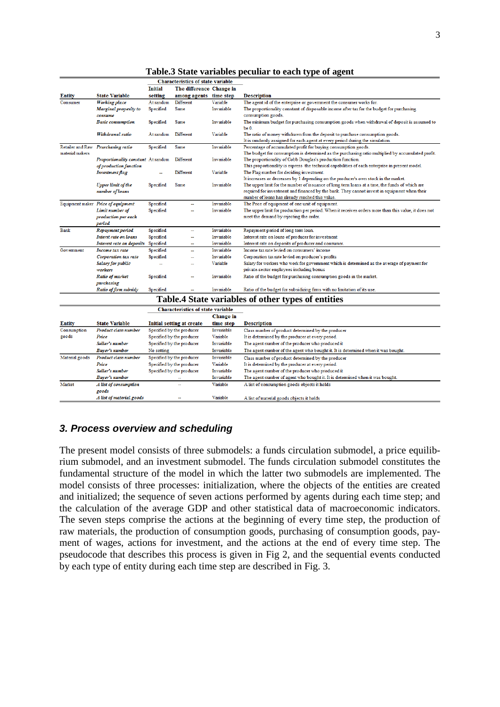|                 |                                                              | <b>Characteristics of state variable</b> |                                          |            |                                                                                                                                                                      |
|-----------------|--------------------------------------------------------------|------------------------------------------|------------------------------------------|------------|----------------------------------------------------------------------------------------------------------------------------------------------------------------------|
|                 |                                                              | <b>Initial</b>                           | The difference Change in                 |            |                                                                                                                                                                      |
| Entity          | <b>State Variable</b>                                        | setting                                  | among agents time step                   |            | <b>Description</b>                                                                                                                                                   |
| Consumer        | <b>Working</b> place                                         | At random                                | Different                                | Variable   | The agent id of the enterprise or government the consumer works for.                                                                                                 |
|                 | Marginal propesity to<br>consume                             | Specified                                | Same                                     | Invariable | The proportionality constant of disposable income after tax for the budget for purchasing<br>consumption goods.                                                      |
|                 | <b>Basic consumption</b>                                     | Specified                                | <b>Same</b>                              | Invariable | The minimum budget for purchasing consumption goods when withdrawal of deposit is assumed to<br>be <sub>0</sub>                                                      |
|                 | Withdrawal ratio                                             | At random                                | Different                                | Variable   | The ratio of money withdrawn from the deposit to purchase consumption goods.<br>It is randomly assigned for each agent at every period during the simulation.        |
| material makers | Retailer and Raw Prurchasing ratio                           | Specified                                | <b>Same</b>                              | Invariable | Percentage of accumulated profit for buying consumption goods.<br>The budget for consumption is determined as the purchasing ratio multiplied by accumulated profit. |
|                 | Proportionality constant At random<br>of production function |                                          | Different                                | Invariable | The proportionality of Cobb Douglas's production function.<br>This proportionality is express the technical capabilities of each enterprise in present model.        |
|                 | Investment flag                                              |                                          | <b>Different</b>                         | Variable   | The Flag number for deciding investment.<br>It increases or decreases by 1 depending on the producer's own stock in the market.                                      |
|                 | <b>Upper limit of the</b>                                    | Specified                                | Same                                     | Invariable | The upper limit for the number of issuance of long term loans at a time, the funds of which are                                                                      |
|                 | number of loans                                              |                                          |                                          |            | required for investment and financed by the bank. They cannot invest in equipment when their<br>number of loans has already reached this value.                      |
|                 | Equipment maker Price of equipment                           | Specified                                | ÷                                        | Invariable | The Price of equipment of one unit of equipment.                                                                                                                     |
|                 | Limit number of                                              | Specified                                |                                          | Invariable | The upper limit for production per period. When it receives orders more than this value, it does not                                                                 |
|                 | production per each<br>period                                |                                          |                                          |            | meet the demand by rejecting the order.                                                                                                                              |
| <b>Bank</b>     | Repayment period                                             | Specified                                | ш.                                       | Invariable | Repayment period of long term loan.                                                                                                                                  |
|                 | Interst rate on loans                                        | Specified                                | Ξ.                                       | Invariable | Interest rate on loans of producer for investment                                                                                                                    |
|                 | Interest rate on deposits                                    | Specified                                | ш,                                       | Invariable | Interest rate on deposits of producer and consumer.                                                                                                                  |
| Government      | Income tax rate                                              | Specified                                | ÷.                                       | Invariable | Income tax rate levied on consumers' income                                                                                                                          |
|                 | Corporation tax rate                                         | Specified                                |                                          | Invariable | Corporation tax rate levied on producer's profits                                                                                                                    |
|                 | Salary for public                                            |                                          |                                          | Variable   | Salary for workers who work for government which is determined as the average of payment for                                                                         |
|                 | workers                                                      |                                          |                                          |            | private-sector employees including bonus                                                                                                                             |
|                 | Ratio of market                                              | Specified                                |                                          | Invariable | Ratio of the budget for purchasing consumption goods in the market.                                                                                                  |
|                 | purchasing<br>Ratio of firm subsidy                          | Specified                                |                                          | Invariable | Ratio of the budget for subsidizing firms with no limitation of its use.                                                                                             |
|                 |                                                              |                                          |                                          |            | Table.4 State variables of other types of entities                                                                                                                   |
|                 |                                                              |                                          | <b>Characteristics of state variable</b> |            |                                                                                                                                                                      |
|                 |                                                              |                                          |                                          | Change in  |                                                                                                                                                                      |
| <b>Entity</b>   | <b>State Variable</b>                                        |                                          | Initial setting at create                | time step  | <b>Description</b>                                                                                                                                                   |
| Consumption     | Product class number                                         |                                          | Specified by the producer                | Invariable | Class number of product determined by the producer                                                                                                                   |
| goods           | Price                                                        |                                          | Specified by the producer                | Variable   | It is determined by the producer at every period.                                                                                                                    |
|                 | Seller's number                                              |                                          | Specified by the producer                | Invariable | The agent number of the producer who produced it                                                                                                                     |
|                 | Buyer's number                                               | No setting                               |                                          | Invariable | The agent number of the agent who bought it. It is determined when it was bought.                                                                                    |
| Material goods  | Product class number                                         |                                          | Specified by the producer                | Invariable | Class number of product determined by the producer                                                                                                                   |
|                 | Price                                                        |                                          | Specified by the producer                | Variable   | It is determined by the producer at every period.                                                                                                                    |
|                 | Seller's number                                              |                                          | Specified by the producer                | Invariable | The agent number of the producer who produced it                                                                                                                     |
|                 | Buyer's number                                               |                                          |                                          | Invariable | The agent number of agent who bought it. It is determined when it was bought.                                                                                        |
| Market          | A list of consumption<br>goods                               |                                          |                                          | Variable   | A list of consumption goods objects it holds                                                                                                                         |
|                 | A list of material goods                                     |                                          |                                          | Variable   | A list of material goods objects it holds                                                                                                                            |

**Table.3 State variables peculiar to each type of agent**

# *3. Process overview and scheduling*

The present model consists of three submodels: a funds circulation submodel, a price equilibrium submodel, and an investment submodel. The funds circulation submodel constitutes the fundamental structure of the model in which the latter two submodels are implemented. The model consists of three processes: initialization, where the objects of the entities are created and initialized; the sequence of seven actions performed by agents during each time step; and the calculation of the average GDP and other statistical data of macroeconomic indicators. The seven steps comprise the actions at the beginning of every time step, the production of raw materials, the production of consumption goods, purchasing of consumption goods, payment of wages, actions for investment, and the actions at the end of every time step. The pseudocode that describes this process is given in Fig 2, and the sequential events conducted by each type of entity during each time step are described in Fig. 3.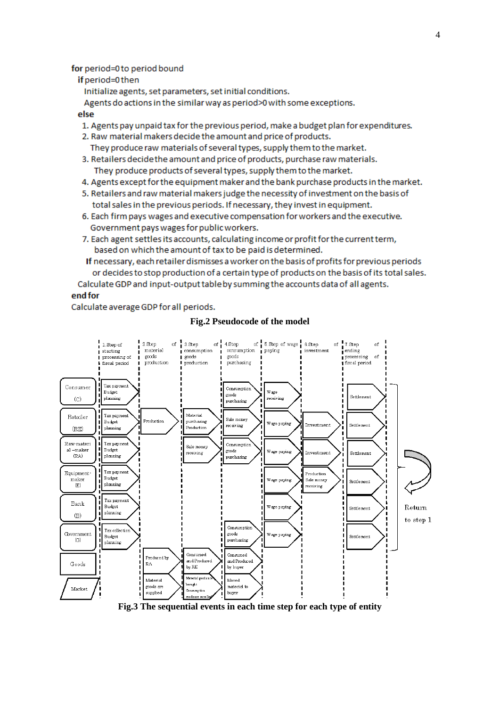## for period=0 to period bound

## if period=0 then

Initialize agents, set parameters, set initial conditions.

Agents do actions in the similar way as period>0 with some exceptions.

## else

- 1. Agents pay unpaid tax for the previous period, make a budget plan for expenditures.
- 2. Raw material makers decide the amount and price of products. They produce raw materials of several types, supply them to the market.
- 3. Retailers decide the amount and price of products, purchase raw materials. They produce products of several types, supply them to the market.
- 4. Agents except for the equipment maker and the bank purchase products in the market.
- 5. Retailers and raw material makers judge the necessity of investment on the basis of total sales in the previous periods. If necessary, they invest in equipment.
- 6. Each firm pays wages and executive compensation for workers and the executive. Government pays wages for public workers.
- 7. Each agent settles its accounts, calculating income or profit for the current term, based on which the amount of tax to be paid is determined.
- If necessary, each retailer dismisses a worker on the basis of profits for previous periods or decides to stop production of a certain type of products on the basis of its total sales.

Calculate GDP and input-output table by summing the accounts data of all agents.

## end for

Calculate average GDP for all periods.

### of 6.Step of wage 6.Step 2. Step 3. Step 4.Step of  $-7.$  Step 1. Step of of  $\frac{1}{2}$  $\circ$ f $\frac{1}{1}$  $\sigma$  $ending$ material paying starting consumption consumption invoetmont goods  $\frac{1}{1}$  goods processing of  $\alpha$ <sup> $\beta$ </sup> *i* goods nmeessing production purchasing fiscal period production fiscal period Consumer Tax navmen .<br>Consumption .<br>Wage Budget ennds  $\mathcal{L}(\mathcal{C})$ planning eceiving Settlement -<br>purchasine Material Tax paymen Retailer Sale mone: Production Budget aneh sein Wage paving Investment Settlement receiving -<br>Production  $(RE)$ planning Tax payment Raw-mater: Consumptio Sale money al -mak Budget ennds receiving .<br>Wage paying Investment Settlement  $(RA)$ planning -<br>pum hasine Tax paymen Equipment Production Budget maker .<br>Wage paying Sale monet Settlement  $(\mathbb{R})$ planning .<br>receiving Tax paymen Bank **Budget** Wage paying Return Settlement nlanning  $(F)$ to step 1 Consumption Tax collectio Government goods Wage paving **Budget** Settlement  $(\cap)$ purchasing planning Consumed Consumed Produced by and Produ and Produced Goods **RA** by RE by buyer **Material** good Materia Moved .<br>Եւօս **բ**ե enods an material tr Market Consumptio supplied buyer

### **Fig.2 Pseudocode of the model**

**Fig.3 The sequential events in each time step for each type of entity**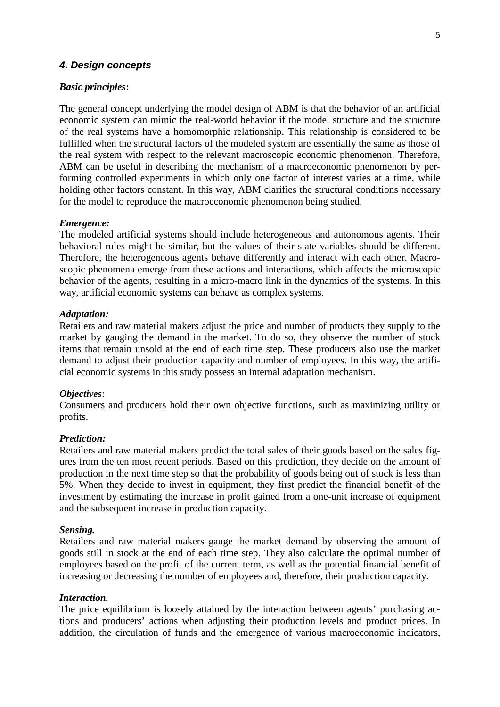# *4. Design concepts*

## *Basic principles***:**

The general concept underlying the model design of ABM is that the behavior of an artificial economic system can mimic the real-world behavior if the model structure and the structure of the real systems have a homomorphic relationship. This relationship is considered to be fulfilled when the structural factors of the modeled system are essentially the same as those of the real system with respect to the relevant macroscopic economic phenomenon. Therefore, ABM can be useful in describing the mechanism of a macroeconomic phenomenon by performing controlled experiments in which only one factor of interest varies at a time, while holding other factors constant. In this way, ABM clarifies the structural conditions necessary for the model to reproduce the macroeconomic phenomenon being studied.

### *Emergence:*

The modeled artificial systems should include heterogeneous and autonomous agents. Their behavioral rules might be similar, but the values of their state variables should be different. Therefore, the heterogeneous agents behave differently and interact with each other. Macroscopic phenomena emerge from these actions and interactions, which affects the microscopic behavior of the agents, resulting in a micro-macro link in the dynamics of the systems. In this way, artificial economic systems can behave as complex systems.

## *Adaptation:*

Retailers and raw material makers adjust the price and number of products they supply to the market by gauging the demand in the market. To do so, they observe the number of stock items that remain unsold at the end of each time step. These producers also use the market demand to adjust their production capacity and number of employees. In this way, the artificial economic systems in this study possess an internal adaptation mechanism.

### *Objectives*:

Consumers and producers hold their own objective functions, such as maximizing utility or profits.

### *Prediction:*

Retailers and raw material makers predict the total sales of their goods based on the sales figures from the ten most recent periods. Based on this prediction, they decide on the amount of production in the next time step so that the probability of goods being out of stock is less than 5%. When they decide to invest in equipment, they first predict the financial benefit of the investment by estimating the increase in profit gained from a one-unit increase of equipment and the subsequent increase in production capacity.

## *Sensing.*

Retailers and raw material makers gauge the market demand by observing the amount of goods still in stock at the end of each time step. They also calculate the optimal number of employees based on the profit of the current term, as well as the potential financial benefit of increasing or decreasing the number of employees and, therefore, their production capacity.

### *Interaction.*

The price equilibrium is loosely attained by the interaction between agents' purchasing actions and producers' actions when adjusting their production levels and product prices. In addition, the circulation of funds and the emergence of various macroeconomic indicators,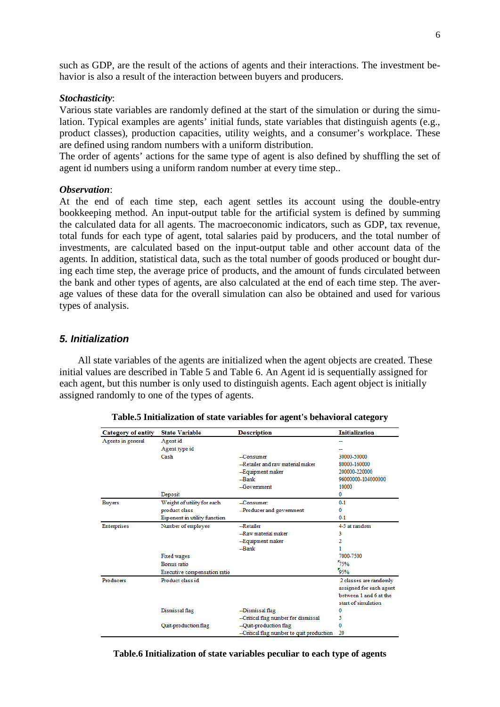such as GDP, are the result of the actions of agents and their interactions. The investment behavior is also a result of the interaction between buyers and producers.

## *Stochasticity*:

Various state variables are randomly defined at the start of the simulation or during the simulation. Typical examples are agents' initial funds, state variables that distinguish agents (e.g., product classes), production capacities, utility weights, and a consumer's workplace. These are defined using random numbers with a uniform distribution.

The order of agents' actions for the same type of agent is also defined by shuffling the set of agent id numbers using a uniform random number at every time step..

### *Observation*:

At the end of each time step, each agent settles its account using the double-entry bookkeeping method. An input-output table for the artificial system is defined by summing the calculated data for all agents. The macroeconomic indicators, such as GDP, tax revenue, total funds for each type of agent, total salaries paid by producers, and the total number of investments, are calculated based on the input-output table and other account data of the agents. In addition, statistical data, such as the total number of goods produced or bought during each time step, the average price of products, and the amount of funds circulated between the bank and other types of agents, are also calculated at the end of each time step. The average values of these data for the overall simulation can also be obtained and used for various types of analysis.

# *5. Initialization*

All state variables of the agents are initialized when the agent objects are created. These initial values are described in Table 5 and Table 6. An Agent id is sequentially assigned for each agent, but this number is only used to distinguish agents. Each agent object is initially assigned randomly to one of the types of agents.

| <b>Category of entity</b> | <b>State Variable</b>        | <b>Description</b>                        | <b>Initialization</b>   |
|---------------------------|------------------------------|-------------------------------------------|-------------------------|
|                           |                              |                                           |                         |
| Agents in general         | Agent id                     |                                           | --                      |
|                           | Agent type id                |                                           |                         |
|                           | Cash                         | --Consumer                                | 30000-50000             |
|                           |                              | --Retailer and raw material maker         | 80000-160000            |
|                           |                              | --Equipment maker                         | 200000-220000           |
|                           |                              | $-Rank$                                   | 96000000-104000000      |
|                           |                              | $-Govemment$                              | 10000                   |
|                           | Deposit                      |                                           | 0                       |
| <b>Buvers</b>             | Weight of utility for each   | $-C$ onsumer:                             | $0 - 1$                 |
|                           | product class                | --Producer and government                 | 0                       |
|                           | Exponent in utility function |                                           | $0 - 1$                 |
| Enterprises               | Number of employee           | $-$ Retailer                              | 4-5 at random           |
|                           |                              | -Raw material maker                       | 3                       |
|                           |                              | --Equipment maker                         | 2                       |
|                           |                              | $-$ Bank                                  |                         |
|                           | <b>Fixed wages</b>           |                                           | 7000-7500               |
|                           | Bonus ratio                  |                                           | 75%                     |
|                           | Executive compensation ratio |                                           | 95%                     |
| Producers                 | Product class id             |                                           | 2 classes are randomly  |
|                           |                              |                                           | assigned for each agent |
|                           |                              |                                           | between 1 and 6 at the  |
|                           |                              |                                           | start of simulation     |
|                           | Dismissal flag               | -Dismissal flag                           | 0                       |
|                           |                              | --Critical flag number for dismissal      | 5                       |
|                           | Quit-production flag         | -- Quit-production flag                   | 0                       |
|                           |                              | --Critical flag number to quit production | 20                      |

**Table.6 Initialization of state variables peculiar to each type of agents**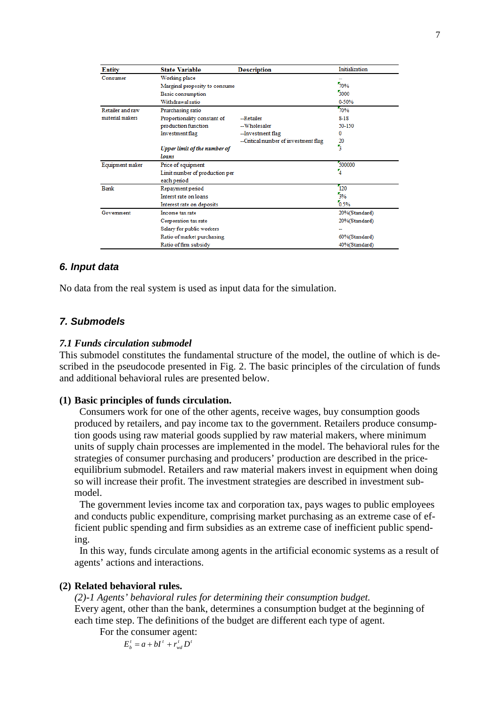| <b>Entity</b>    | <b>State Variable</b>          | <b>Description</b>                   | Initialization |
|------------------|--------------------------------|--------------------------------------|----------------|
| Consumer         | Working place                  |                                      |                |
|                  | Marginal propesity to consume  |                                      | 70%            |
|                  | Basic consumption              |                                      | 3000           |
|                  | Withdrawal ratio               |                                      | 0-50%          |
| Retailer and raw | Prurchasing ratio              |                                      | 70%            |
| material makers  | Proportionality constant of    | --Retailer                           | $8 - 18$       |
|                  | production function            | -Wholesaler                          | 50-150         |
|                  | Investment flag                | --Investment flag                    | 0              |
|                  |                                | --Critical number of investment flag | 20             |
|                  | Upper limit of the number of   |                                      | ٩              |
|                  | loans                          |                                      |                |
| Equipment maker  | Price of equipment             |                                      | 500000         |
|                  | Limit number of production per |                                      | 4              |
|                  | each period                    |                                      |                |
| Bank             | Repayment period               |                                      | 120            |
|                  | Interst rate on loans          |                                      | 3%             |
|                  | Interest rate on deposits      |                                      | 0.5%           |
| Government       | Income tax rate                |                                      | 20%(Standard)  |
|                  | Corporation tax rate           |                                      | 20%(Standard)  |
|                  | Salary for public workers      |                                      |                |
|                  | Ratio of market purchasing     |                                      | 60%(Standard)  |
|                  | Ratio of firm subsidy          | 40%(Standard)                        |                |

# *6. Input data*

No data from the real system is used as input data for the simulation.

# *7. Submodels*

## *7.1 Funds circulation submodel*

This submodel constitutes the fundamental structure of the model, the outline of which is described in the pseudocode presented in Fig. 2. The basic principles of the circulation of funds and additional behavioral rules are presented below.

## **(1) Basic principles of funds circulation.**

Consumers work for one of the other agents, receive wages, buy consumption goods produced by retailers, and pay income tax to the government. Retailers produce consumption goods using raw material goods supplied by raw material makers, where minimum units of supply chain processes are implemented in the model. The behavioral rules for the strategies of consumer purchasing and producers' production are described in the priceequilibrium submodel. Retailers and raw material makers invest in equipment when doing so will increase their profit. The investment strategies are described in investment submodel.

The government levies income tax and corporation tax, pays wages to public employees and conducts public expenditure, comprising market purchasing as an extreme case of efficient public spending and firm subsidies as an extreme case of inefficient public spending.

In this way, funds circulate among agents in the artificial economic systems as a result of agents' actions and interactions.

## **(2) Related behavioral rules.**

*(2)-1 Agents' behavioral rules for determining their consumption budget.* Every agent, other than the bank, determines a consumption budget at the beginning of each time step. The definitions of the budget are different each type of agent. For the consumer agent:

 $E_b^t = a + bI^t + r_{wd}^t D^t$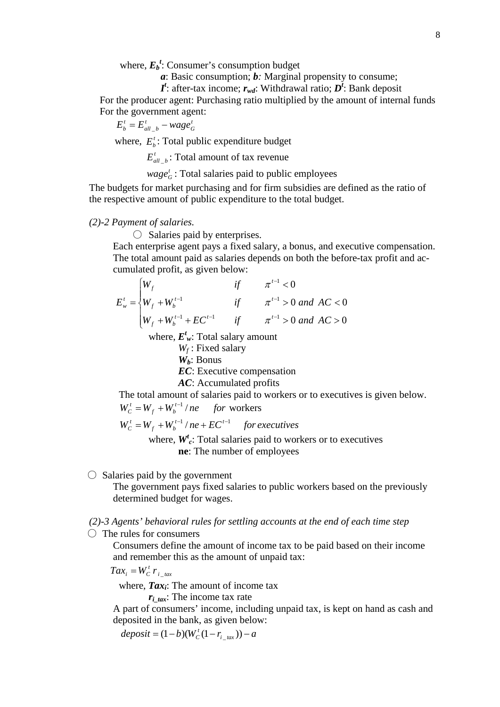where,  ${E_b}^t$ : Consumer's consumption budget

*a*: Basic consumption; *b:* Marginal propensity to consume;

 $I^t$ : after-tax income;  $r_{wd}$ : Withdrawal ratio;  $D^t$ : Bank deposit

For the producer agent: Purchasing ratio multiplied by the amount of internal funds For the government agent:

$$
E_b^t = E_{all_b}^t - wage_G^t
$$

where,  $E_h^t$ : Total public expenditure budget

 $E_{all}^{t}$  *b* : Total amount of tax revenue

 $wage_G^t$ : Total salaries paid to public employees

The budgets for market purchasing and for firm subsidies are defined as the ratio of the respective amount of public expenditure to the total budget.

## *(2)-2 Payment of salaries.*

 $\bigcirc$  Salaries paid by enterprises.

Each enterprise agent pays a fixed salary, a bonus, and executive compensation. The total amount paid as salaries depends on both the before-tax profit and accumulated profit, as given below:

$$
E'_{w} = \begin{cases} W_{f} & \text{if } \pi^{t-1} < 0 \\ W_{f} + W_{b}^{t-1} & \text{if } \pi^{t-1} > 0 \text{ and } AC < 0 \\ W_{f} + W_{b}^{t-1} + EC^{t-1} & \text{if } \pi^{t-1} > 0 \text{ and } AC > 0 \end{cases}
$$

where, *E<sup>t</sup> <sup>w</sup>*: Total salary amount

*Wf* : Fixed salary *Wb*: Bonus *EC*: Executive compensation *AC*: Accumulated profits The total amount of salaries paid to workers or to executives is given below.

 $W_c^t = W_f + W_b^{t-1}/ne$  *for* workers *t*  $C^t$  =  $W_f$  +  $W_b^{t-}$ 

 $W_c^t = W_f + W_b^{t-1}/ne + EC^{t-1}$  *for executives t*  $C^t_C = W_f + W_b^{t-1} / ne + EC^{t-1}$ 

> where, *W<sup>t</sup> <sup>c</sup>*: Total salaries paid to workers or to executives **ne**: The number of employees

# $\bigcirc$  Salaries paid by the government

The government pays fixed salaries to public workers based on the previously determined budget for wages.

# *(2)-3 Agents' behavioral rules for settling accounts at the end of each time step*

 $\bigcirc$  The rules for consumers

Consumers define the amount of income tax to be paid based on their income and remember this as the amount of unpaid tax:

*i tax*  $Tax_i = W_c^t r_i$ 

where, **Tax**<sub>i</sub>: The amount of income tax

 $r_{i\text{tar}}$ : The income tax rate

A part of consumers' income, including unpaid tax, is kept on hand as cash and deposited in the bank, as given below:

 $deposit = (1-b)(W_c^t(1-r_{i\_tax})) - a$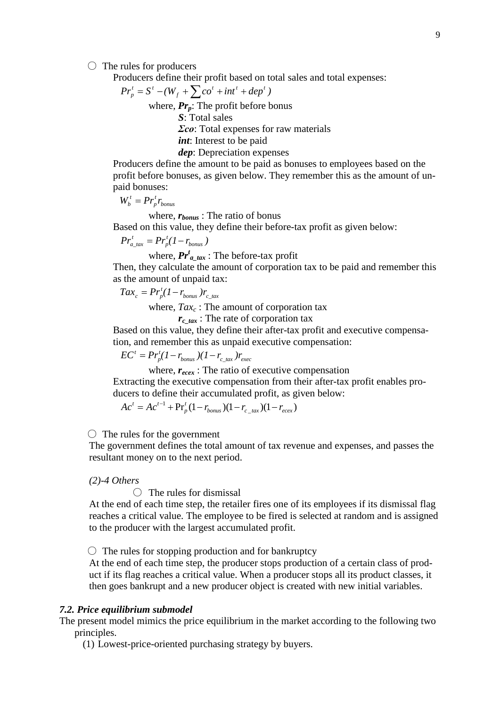$\bigcirc$  The rules for producers

Producers define their profit based on total sales and total expenses:

$$
Pr_p^t = S^t - (W_f + \sum co^t + int^t + dep^t)
$$
  
where,  $Pr_p$ : The profit before bonus  
S: Total sales  
 $\sum co$ : Total expenses for raw materials  
*int*: Interest to be paid  
*dep*: Depreciation expenses

Producers define the amount to be paid as bonuses to employees based on the profit before bonuses, as given below. They remember this as the amount of unpaid bonuses:

$$
W_b^t = Pr_p^t r_{\text{bonus}}
$$

where, *rbonus* : The ratio of bonus

Based on this value, they define their before-tax profit as given below:

$$
Pr_{a\_tax}^{t} = Pr_{p}^{t}(1 - r_{bounds})
$$

where, *Pr<sup>t</sup> a\_tax* : The before-tax profit

Then, they calculate the amount of corporation tax to be paid and remember this as the amount of unpaid tax:

$$
Tax_c = Pr_p^t(1 - r_{bonus})r_{c\_tax}
$$

where,  $Tax_c$ : The amount of corporation tax

 $r_{c\,tar}$  : The rate of corporation tax

Based on this value, they define their after-tax profit and executive compensation, and remember this as unpaid executive compensation:

*bonus*  $\mu$  *c\_tax*  $\mu$  *exec t*  $FC<sup>t</sup> = Pr<sub>p</sub><sup>t</sup>(1 - r_{bonus}) (1 - r_{c\_tax}) r_{c}$ 

where,  $r_{ecex}$ : The ratio of executive compensation

Extracting the executive compensation from their after-tax profit enables producers to define their accumulated profit, as given below:

 $P^1 + \Pr^t_p (1 - r_{bonus})(1 - r_{c\_tax})(1 - r_{ecex})$ *bonus*  $\mathcal{N}$ <sup>1</sup>  $\mathcal{N}_c$ <sub>*tax*</sub>  $\mathcal{N}$ <sup>1</sup>  $\mathcal{N}_c$   $\mathcal{N}_c$ *t*  $A c^{t} = A c^{t-1} + P r_{p}^{t} (1 - r_{bounds}) (1 - r_{c\_tax}) (1 - r_{c\_tax})$ 

 $\bigcirc$  The rules for the government

The government defines the total amount of tax revenue and expenses, and passes the resultant money on to the next period.

### *(2)-4 Others*

 $\bigcap$  The rules for dismissal

At the end of each time step, the retailer fires one of its employees if its dismissal flag reaches a critical value. The employee to be fired is selected at random and is assigned to the producer with the largest accumulated profit.

 $\circ$  The rules for stopping production and for bankruptcy

At the end of each time step, the producer stops production of a certain class of product if its flag reaches a critical value. When a producer stops all its product classes, it then goes bankrupt and a new producer object is created with new initial variables.

## *7.2. Price equilibrium submodel*

The present model mimics the price equilibrium in the market according to the following two principles.

(1) Lowest-price-oriented purchasing strategy by buyers.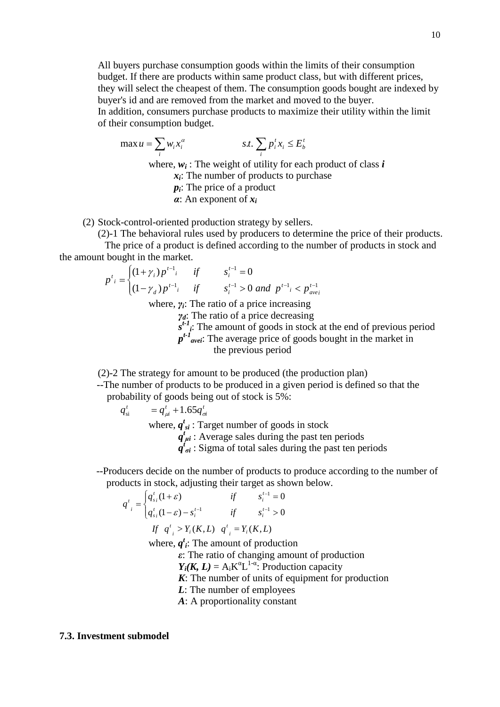All buyers purchase consumption goods within the limits of their consumption budget. If there are products within same product class, but with different prices, they will select the cheapest of them. The consumption goods bought are indexed by buyer's id and are removed from the market and moved to the buyer. In addition, consumers purchase products to maximize their utility within the limit of their consumption budget.

max 
$$
u = \sum_i w_i x_i^{\alpha}
$$
 *s.t.*  $\sum_i p_i^t x_i \le E_b^t$   
where,  $w_i$ : The weight of utility for each product of class *i*  
 $x_i$ : The number of products to purchase  
 $p_i$ : The price of a product

*α*: An exponent of *xi*

(2) Stock-control-oriented production strategy by sellers.

(2)-1 The behavioral rules used by producers to determine the price of their products.

The price of a product is defined according to the number of products in stock and the amount bought in the market.

$$
p^{t_i} = \begin{cases} (1+\gamma_i)p^{t-1_i} & \text{if} & s_i^{t-1} = 0\\ (1-\gamma_d)p^{t-1_i} & \text{if} & s_i^{t-1} > 0 \text{ and } p^{t-1_i} < p^{t-1}_{avei} \end{cases}
$$

where, *γi*: The ratio of a price increasing

*γd*: The ratio of a price decreasing

 $s^{t-1}$ . The amount of goods in stock at the end of previous period *pt-1 avei*: The average price of goods bought in the market in the previous period

(2)-2 The strategy for amount to be produced (the production plan)

--The number of products to be produced in a given period is defined so that the probability of goods being out of stock is 5%:

$$
q_{\rm si}^t = q_{\mu i}^t + 1.65 q_{\sigma i}^t
$$

where,  $q^t_{si}$ : Target number of goods in stock

 $\overline{q}^t_{\mu i}$ : Average sales during the past ten periods

 $q'_{\sigma i}$ : Sigma of total sales during the past ten periods

--Producers decide on the number of products to produce according to the number of products in stock, adjusting their target as shown below.

$$
q'_{i} = \begin{cases} q'_{s_{i}}(1+\varepsilon) & \text{if} & s_{i}^{t-1} = 0\\ q'_{s_{i}}(1-\varepsilon) - s_{i}^{t-1} & \text{if} & s_{i}^{t-1} > 0 \end{cases}
$$
  
If  $q'_{i} > Y_{i}(K, L)$   $q'_{i} = Y_{i}(K, L)$ 

where,  $q^t$ *i*: The amount of production

*ε*: The ratio of changing amount of production

 $Y_i(K, L) = A_i K^{\alpha} L^{1-\alpha}$ : Production capacity

*K*: The number of units of equipment for production

- *L*: The number of employees
- *A*: A proportionality constant

## **7.3. Investment submodel**